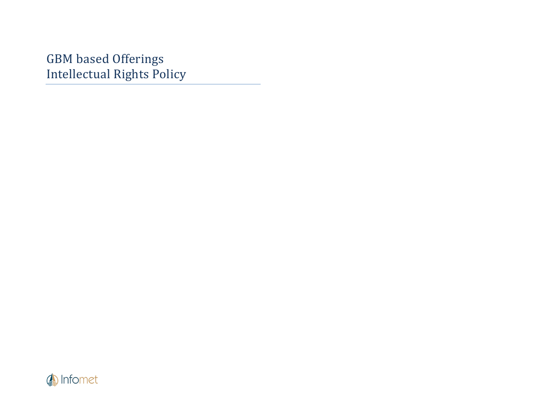GBM based Offerings Intellectual Rights Policy

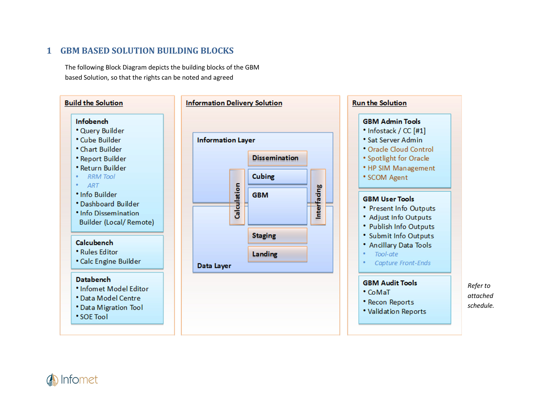#### **1GBM BASED SOLUTION BUILDING BLOCKS**

The following Block Diagram depicts the building blocks of the GBM based Solution, so that the rights can be noted and agreed



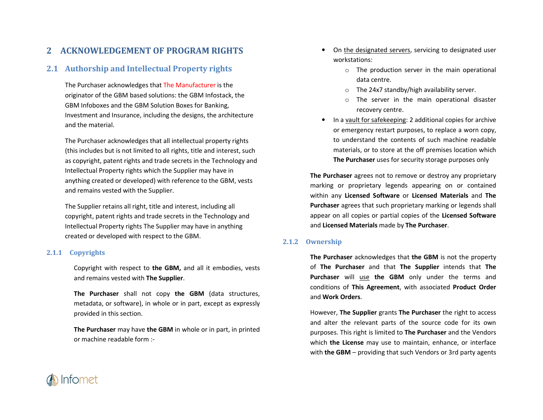#### **2ACKNOWLEDGEMENT OF PROGRAM RIGHTS**

# **2.1 Authorship and Intellectual Property rights**

The Purchaser acknowledges that The Manufacturer is the originator of the GBM based solutions: the GBM Infostack, the GBM Infoboxes and the GBM Solution Boxes for Banking, Investment and Insurance, including the designs, the architecture and the material.

The Purchaser acknowledges that all intellectual property rights (this includes but is not limited to all rights, title and interest, such as copyright, patent rights and trade secrets in the Technology and Intellectual Property rights which the Supplier may have in anything created or developed) with reference to the GBM, vests and remains vested with the Supplier.

The Supplier retains all right, title and interest, including all copyright, patent rights and trade secrets in the Technology and Intellectual Property rights The Supplier may have in anything created or developed with respect to the GBM.

### **2.1.1 Copyrights**

Copyright with respect to **the GBM,** and all it embodies, vests and remains vested with **The Supplier**.

**The Purchaser** shall not copy **the GBM** (data structures, metadata, or software), in whole or in part, except as expressly provided in this section.

**The Purchaser** may have **the GBM** in whole or in part, in printed or machine readable form :-

- • On the designated servers, servicing to designated user workstations:
	- $\circ$  The production server in the main operational data centre.
	- o The 24x7 standby/high availability server.
	- o The server in the main operational disaster recovery centre.
- In a vault for safekeeping: 2 additional copies for archive or emergency restart purposes, to replace a worn copy, to understand the contents of such machine readablematerials, or to store at the off premises location which **The Purchaser** uses for security storage purposes only

**The Purchaser** agrees not to remove or destroy any proprietary marking or proprietary legends appearing on or contained within any **Licensed Software** or **Licensed Materials** and **The Purchaser** agrees that such proprietary marking or legends shall appear on all copies or partial copies of the **Licensed Software**and **Licensed Materials** made by **The Purchaser**.

### **2.1.2 Ownership**

**The Purchaser** acknowledges that **the GBM** is not the property of **The Purchaser** and that **The Supplier** intends that **The** Purchaser will use the GBM only under the terms and conditions of **This Agreement**, with associated **Product Order**and **Work Orders**.

However, **The Supplier** grants **The Purchaser** the right to access and alter the relevant parts of the source code for its own purposes. This right is limited to **The Purchaser** and the Vendors which **the License** may use to maintain, enhance, or interface with **the GBM** – providing that such Vendors or 3rd party agents

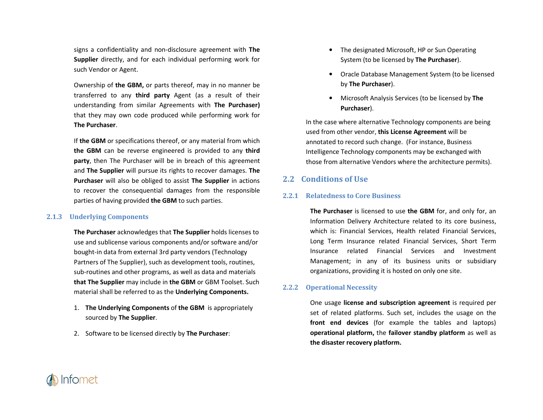signs a confidentiality and non-disclosure agreement with **The Supplier** directly, and for each individual performing work for such Vendor or Agent.

Ownership of **the GBM,** or parts thereof, may in no manner be transferred to any **third party** Agent (as a result of their understanding from similar Agreements with **The Purchaser)** that they may own code produced while performing work for **The Purchaser**.

If **the GBM** or specifications thereof, or any material from which **the GBM** can be reverse engineered is provided to any **third party**, then The Purchaser will be in breach of this agreement and **The Supplier** will pursue its rights to recover damages. **The Purchaser** will also be obliged to assist **The Supplier** in actions to recover the consequential damages from the responsible parties of having provided **the GBM** to such parties.

## **2.1.3 Underlying Components**

**The Purchaser** acknowledges that **The Supplier** holds licenses to use and sublicense various components and/or software and/or bought-in data from external 3rd party vendors (Technology Partners of The Supplier), such as development tools, routines, sub-routines and other programs, as well as data and materials **that The Supplier** may include in **the GBM** or GBM Toolset. Such material shall be referred to as the **Underlying Components.**

- 1. **The Underlying Components** of **the GBM** is appropriately sourced by **The Supplier**.
- 2. Software to be licensed directly by **The Purchaser**:
- The designated Microsoft, HP or Sun Operating System (to be licensed by **The Purchaser**).
- Oracle Database Management System (to be licensed by **The Purchaser**).
- Microsoft Analysis Services (to be licensed by **The Purchaser**).

In the case where alternative Technology components are being used from other vendor, **this License Agreement** will be annotated to record such change. (For instance, Business Intelligence Technology components may be exchanged with those from alternative Vendors where the architecture permits).

# **2.2 Conditions of Use**

## **2.2.1 Relatedness to Core Business**

**The Purchaser** is licensed to use **the GBM** for, and only for, an Information Delivery Architecture related to its core business, which is: Financial Services, Health related Financial Services, Long Term Insurance related Financial Services, Short Term Insurance related Financial Services and InvestmentManagement; in any of its business units or subsidiary organizations, providing it is hosted on only one site.

#### **2.2.2Operational Necessity**

One usage **license and subscription agreement** is required per set of related platforms. Such set, includes the usage on the **front end devices** (for example the tables and laptops) **operational platform,** the **failover standby platform** as well as**the disaster recovery platform.** 

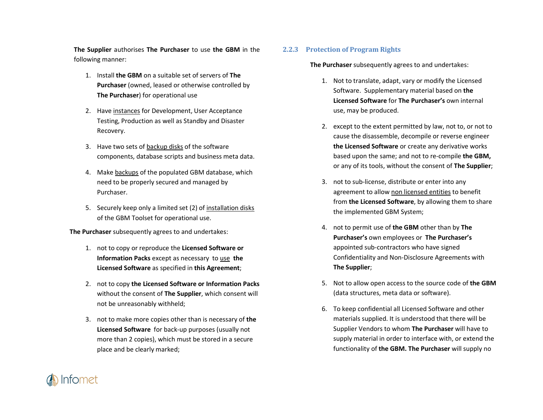**The Supplier** authorises **The Purchaser** to use **the GBM** in the following manner:

- 1. Install **the GBM** on a suitable set of servers of **The Purchaser** (owned, leased or otherwise controlled by **The Purchaser**) for operational use
- 2. Have <u>instances</u> for Development, User Acceptance Testing, Production as well as Standby and DisasterRecovery.
- 3. Have two sets of backup disks of the software components, database scripts and business meta data.
- 4. Make <u>backups</u> of the populated GBM database, which need to be properly secured and managed by Purchaser.
- 5. Securely keep only a limited set (2) of <u>installation disks</u> of the GBM Toolset for operational use.

**The Purchaser** subsequently agrees to and undertakes:

- 1. not to copy or reproduce the **Licensed Software or Information Packs** except as necessary to use **the Licensed Software** as specified in **this Agreement**;
- 2. not to copy **the Licensed Software or Information Packs** without the consent of **The Supplier**, which consent will not be unreasonably withheld;
- 3. not to make more copies other than is necessary of **the Licensed Software** for back-up purposes (usually not more than 2 copies), which must be stored in a secure place and be clearly marked;

## **2.2.3 Protection of Program Rights**

**The Purchaser** subsequently agrees to and undertakes:

- 1. Not to translate, adapt, vary or modify the Licensed Software. Supplementary material based on **the Licensed Software** for **The Purchaser's** own internal use, may be produced.
- 2. except to the extent permitted by law, not to, or not to cause the disassemble, decompile or reverse engineer **the Licensed Software** or create any derivative works based upon the same; and not to re-compile **the GBM,**or any of its tools, without the consent of **The Supplier**;
- 3. not to sub-license, distribute or enter into any agreement to allow non licensed entities to benefitfrom **the Licensed Software**, by allowing them to share the implemented GBM System;
- 4. not to permit use of **the GBM** other than by **The Purchaser's** own employees or **The Purchaser's**appointed sub-contractors who have signed Confidentiality and Non-Disclosure Agreements with **The Supplier**;
- 5. Not to allow open access to the source code of **the GBM**(data structures, meta data or software).
- 6. To keep confidential all Licensed Software and other materials supplied. It is understood that there will be Supplier Vendors to whom **The Purchaser** will have to supply material in order to interface with, or extend the functionality of **the GBM. The Purchaser** will supply no